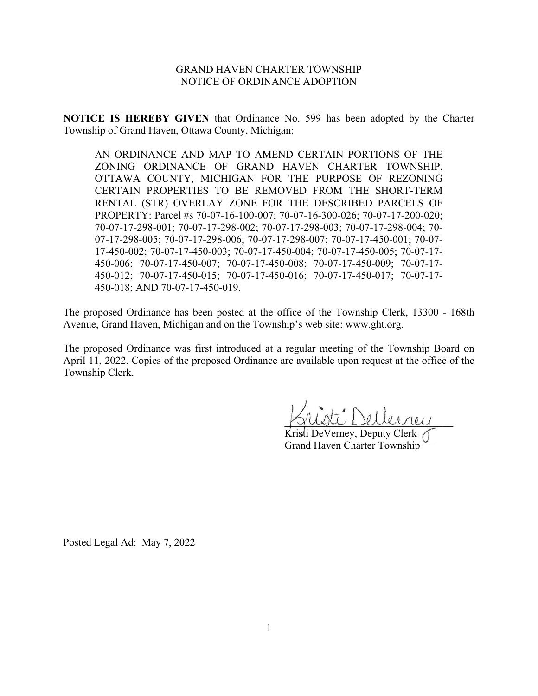# GRAND HAVEN CHARTER TOWNSHIP NOTICE OF ORDINANCE ADOPTION

**NOTICE IS HEREBY GIVEN** that Ordinance No. 599 has been adopted by the Charter Township of Grand Haven, Ottawa County, Michigan:

AN ORDINANCE AND MAP TO AMEND CERTAIN PORTIONS OF THE ZONING ORDINANCE OF GRAND HAVEN CHARTER TOWNSHIP, OTTAWA COUNTY, MICHIGAN FOR THE PURPOSE OF REZONING CERTAIN PROPERTIES TO BE REMOVED FROM THE SHORT-TERM RENTAL (STR) OVERLAY ZONE FOR THE DESCRIBED PARCELS OF PROPERTY: Parcel #s 70-07-16-100-007; 70-07-16-300-026; 70-07-17-200-020; 70-07-17-298-001; 70-07-17-298-002; 70-07-17-298-003; 70-07-17-298-004; 70- 07-17-298-005; 70-07-17-298-006; 70-07-17-298-007; 70-07-17-450-001; 70-07- 17-450-002; 70-07-17-450-003; 70-07-17-450-004; 70-07-17-450-005; 70-07-17- 450-006; 70-07-17-450-007; 70-07-17-450-008; 70-07-17-450-009; 70-07-17- 450-012; 70-07-17-450-015; 70-07-17-450-016; 70-07-17-450-017; 70-07-17- 450-018; AND 70-07-17-450-019.

The proposed Ordinance has been posted at the office of the Township Clerk, 13300 - 168th Avenue, Grand Haven, Michigan and on the Township's web site: www.ght.org.

The proposed Ordinance was first introduced at a regular meeting of the Township Board on April 11, 2022. Copies of the proposed Ordinance are available upon request at the office of the Township Clerk.

ti: Dellerrey

Kristi DeVerney, Deputy Clerk Grand Haven Charter Township

Posted Legal Ad: May 7, 2022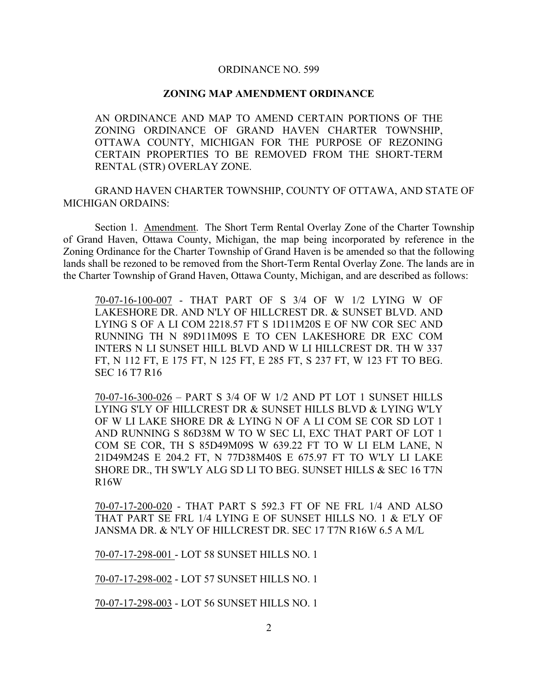## ORDINANCE NO. 599

### **ZONING MAP AMENDMENT ORDINANCE**

AN ORDINANCE AND MAP TO AMEND CERTAIN PORTIONS OF THE ZONING ORDINANCE OF GRAND HAVEN CHARTER TOWNSHIP, OTTAWA COUNTY, MICHIGAN FOR THE PURPOSE OF REZONING CERTAIN PROPERTIES TO BE REMOVED FROM THE SHORT-TERM RENTAL (STR) OVERLAY ZONE.

GRAND HAVEN CHARTER TOWNSHIP, COUNTY OF OTTAWA, AND STATE OF MICHIGAN ORDAINS:

Section 1. Amendment. The Short Term Rental Overlay Zone of the Charter Township of Grand Haven, Ottawa County, Michigan, the map being incorporated by reference in the Zoning Ordinance for the Charter Township of Grand Haven is be amended so that the following lands shall be rezoned to be removed from the Short-Term Rental Overlay Zone. The lands are in the Charter Township of Grand Haven, Ottawa County, Michigan, and are described as follows:

70-07-16-100-007 - THAT PART OF S 3/4 OF W 1/2 LYING W OF LAKESHORE DR. AND N'LY OF HILLCREST DR. & SUNSET BLVD. AND LYING S OF A LI COM 2218.57 FT S 1D11M20S E OF NW COR SEC AND RUNNING TH N 89D11M09S E TO CEN LAKESHORE DR EXC COM INTERS N LI SUNSET HILL BLVD AND W LI HILLCREST DR. TH W 337 FT, N 112 FT, E 175 FT, N 125 FT, E 285 FT, S 237 FT, W 123 FT TO BEG. SEC 16 T7 R16

70-07-16-300-026 – PART S 3/4 OF W 1/2 AND PT LOT 1 SUNSET HILLS LYING S'LY OF HILLCREST DR & SUNSET HILLS BLVD & LYING W'LY OF W LI LAKE SHORE DR & LYING N OF A LI COM SE COR SD LOT 1 AND RUNNING S 86D38M W TO W SEC LI, EXC THAT PART OF LOT 1 COM SE COR, TH S 85D49M09S W 639.22 FT TO W LI ELM LANE, N 21D49M24S E 204.2 FT, N 77D38M40S E 675.97 FT TO W'LY LI LAKE SHORE DR., TH SW'LY ALG SD LI TO BEG. SUNSET HILLS & SEC 16 T7N R16W

70-07-17-200-020 - THAT PART S 592.3 FT OF NE FRL 1/4 AND ALSO THAT PART SE FRL 1/4 LYING E OF SUNSET HILLS NO. 1 & E'LY OF JANSMA DR. & N'LY OF HILLCREST DR. SEC 17 T7N R16W 6.5 A M/L

70-07-17-298-001 - LOT 58 SUNSET HILLS NO. 1

70-07-17-298-002 - LOT 57 SUNSET HILLS NO. 1

70-07-17-298-003 - LOT 56 SUNSET HILLS NO. 1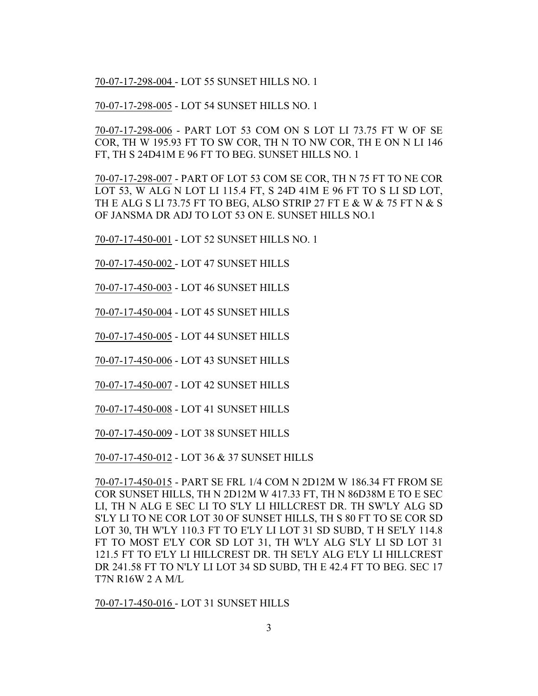70-07-17-298-004 - LOT 55 SUNSET HILLS NO. 1

70-07-17-298-005 - LOT 54 SUNSET HILLS NO. 1

70-07-17-298-006 - PART LOT 53 COM ON S LOT LI 73.75 FT W OF SE COR, TH W 195.93 FT TO SW COR, TH N TO NW COR, TH E ON N LI 146 FT, TH S 24D41M E 96 FT TO BEG. SUNSET HILLS NO. 1

70-07-17-298-007 - PART OF LOT 53 COM SE COR, TH N 75 FT TO NE COR LOT 53, W ALG N LOT LI 115.4 FT, S 24D 41M E 96 FT TO S LI SD LOT, TH E ALG S LI 73.75 FT TO BEG, ALSO STRIP 27 FT E & W & 75 FT N & S OF JANSMA DR ADJ TO LOT 53 ON E. SUNSET HILLS NO.1

70-07-17-450-001 - LOT 52 SUNSET HILLS NO. 1

70-07-17-450-002 - LOT 47 SUNSET HILLS

70-07-17-450-003 - LOT 46 SUNSET HILLS

70-07-17-450-004 - LOT 45 SUNSET HILLS

70-07-17-450-005 - LOT 44 SUNSET HILLS

70-07-17-450-006 - LOT 43 SUNSET HILLS

70-07-17-450-007 - LOT 42 SUNSET HILLS

70-07-17-450-008 - LOT 41 SUNSET HILLS

70-07-17-450-009 - LOT 38 SUNSET HILLS

70-07-17-450-012 - LOT 36 & 37 SUNSET HILLS

70-07-17-450-015 - PART SE FRL 1/4 COM N 2D12M W 186.34 FT FROM SE COR SUNSET HILLS, TH N 2D12M W 417.33 FT, TH N 86D38M E TO E SEC LI, TH N ALG E SEC LI TO S'LY LI HILLCREST DR. TH SW'LY ALG SD S'LY LI TO NE COR LOT 30 OF SUNSET HILLS, TH S 80 FT TO SE COR SD LOT 30, TH W'LY 110.3 FT TO E'LY LI LOT 31 SD SUBD, T H SE'LY 114.8 FT TO MOST E'LY COR SD LOT 31, TH W'LY ALG S'LY LI SD LOT 31 121.5 FT TO E'LY LI HILLCREST DR. TH SE'LY ALG E'LY LI HILLCREST DR 241.58 FT TO N'LY LI LOT 34 SD SUBD, TH E 42.4 FT TO BEG. SEC 17 T7N R16W 2 A M/L

70-07-17-450-016 - LOT 31 SUNSET HILLS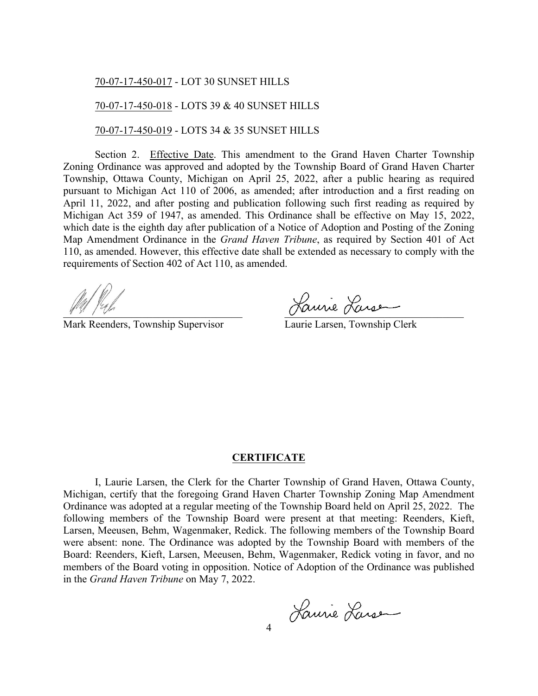## 70-07-17-450-017 - LOT 30 SUNSET HILLS

## 70-07-17-450-018 - LOTS 39 & 40 SUNSET HILLS

70-07-17-450-019 - LOTS 34 & 35 SUNSET HILLS

Section 2. Effective Date. This amendment to the Grand Haven Charter Township Zoning Ordinance was approved and adopted by the Township Board of Grand Haven Charter Township, Ottawa County, Michigan on April 25, 2022, after a public hearing as required pursuant to Michigan Act 110 of 2006, as amended; after introduction and a first reading on April 11, 2022, and after posting and publication following such first reading as required by Michigan Act 359 of 1947, as amended. This Ordinance shall be effective on May 15, 2022, which date is the eighth day after publication of a Notice of Adoption and Posting of the Zoning Map Amendment Ordinance in the *Grand Haven Tribune*, as required by Section 401 of Act 110, as amended. However, this effective date shall be extended as necessary to comply with the requirements of Section 402 of Act 110, as amended.

Mark Reenders, Township Supervisor

Laurie Larsen, Township Clerk

#### **CERTIFICATE**

I, Laurie Larsen, the Clerk for the Charter Township of Grand Haven, Ottawa County, Michigan, certify that the foregoing Grand Haven Charter Township Zoning Map Amendment Ordinance was adopted at a regular meeting of the Township Board held on April 25, 2022. The following members of the Township Board were present at that meeting: Reenders, Kieft, Larsen, Meeusen, Behm, Wagenmaker, Redick. The following members of the Township Board were absent: none. The Ordinance was adopted by the Township Board with members of the Board: Reenders, Kieft, Larsen, Meeusen, Behm, Wagenmaker, Redick voting in favor, and no members of the Board voting in opposition. Notice of Adoption of the Ordinance was published in the *Grand Haven Tribune* on May 7, 2022.

4 Laurie Larsen